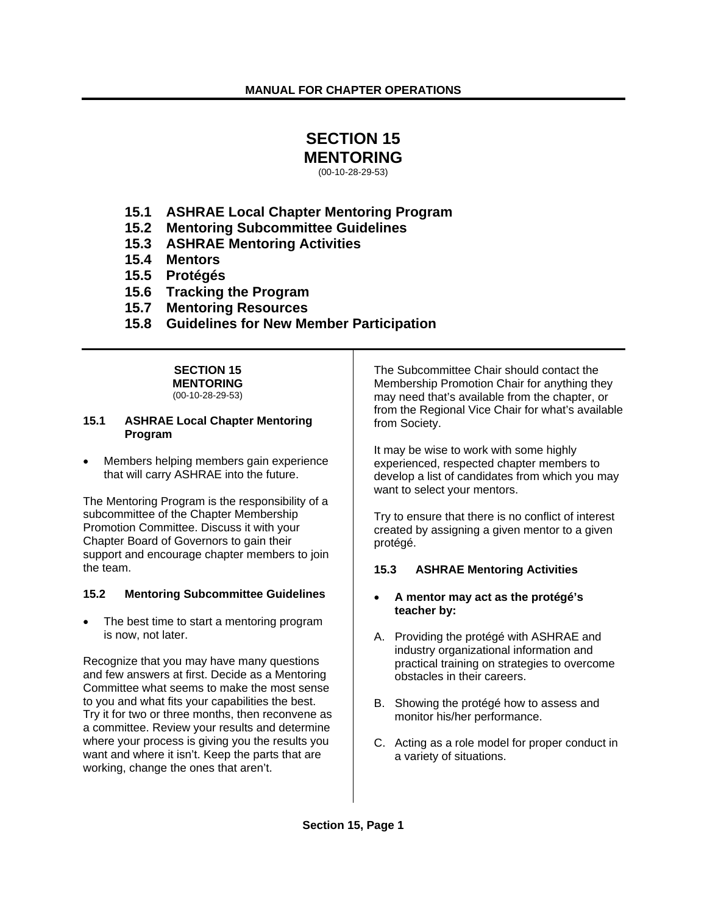# **SECTION 15 MENTORING**

(00-10-28-29-53)

- **15.1 ASHRAE Local Chapter Mentoring Program**
- **15.2 Mentoring Subcommittee Guidelines**
- **15.3 ASHRAE Mentoring Activities**
- **15.4 Mentors**
- **15.5 Protégés**
- **15.6 Tracking the Program**
- **15.7 Mentoring Resources**
- **15.8 Guidelines for New Member Participation**

## **SECTION 15 MENTORING**

(00-10-28-29-53)

#### **15.1 ASHRAE Local Chapter Mentoring Program**

• Members helping members gain experience that will carry ASHRAE into the future.

The Mentoring Program is the responsibility of a subcommittee of the Chapter Membership Promotion Committee. Discuss it with your Chapter Board of Governors to gain their support and encourage chapter members to join the team.

## **15.2 Mentoring Subcommittee Guidelines**

The best time to start a mentoring program is now, not later.

Recognize that you may have many questions and few answers at first. Decide as a Mentoring Committee what seems to make the most sense to you and what fits your capabilities the best. Try it for two or three months, then reconvene as a committee. Review your results and determine where your process is giving you the results you want and where it isn't. Keep the parts that are working, change the ones that aren't.

The Subcommittee Chair should contact the Membership Promotion Chair for anything they may need that's available from the chapter, or from the Regional Vice Chair for what's available from Society.

It may be wise to work with some highly experienced, respected chapter members to develop a list of candidates from which you may want to select your mentors.

Try to ensure that there is no conflict of interest created by assigning a given mentor to a given protégé.

## **15.3 ASHRAE Mentoring Activities**

#### • **A mentor may act as the protégé's teacher by:**

- A. Providing the protégé with ASHRAE and industry organizational information and practical training on strategies to overcome obstacles in their careers.
- B. Showing the protégé how to assess and monitor his/her performance.
- C. Acting as a role model for proper conduct in a variety of situations.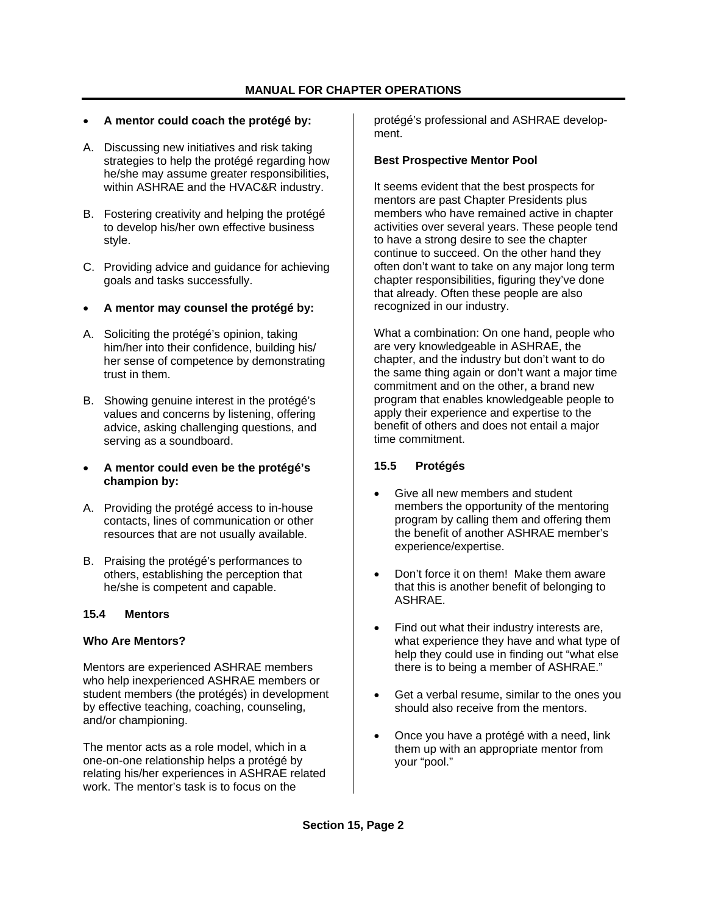## • **A mentor could coach the protégé by:**

- A. Discussing new initiatives and risk taking strategies to help the protégé regarding how he/she may assume greater responsibilities, within ASHRAE and the HVAC&R industry.
- B. Fostering creativity and helping the protégé to develop his/her own effective business style.
- C. Providing advice and guidance for achieving goals and tasks successfully.
- **A mentor may counsel the protégé by:**
- A. Soliciting the protégé's opinion, taking him/her into their confidence, building his/ her sense of competence by demonstrating trust in them.
- B. Showing genuine interest in the protégé's values and concerns by listening, offering advice, asking challenging questions, and serving as a soundboard.
- **A mentor could even be the protégé's champion by:**
- A. Providing the protégé access to in-house contacts, lines of communication or other resources that are not usually available.
- B. Praising the protégé's performances to others, establishing the perception that he/she is competent and capable.

## **15.4 Mentors**

## **Who Are Mentors?**

Mentors are experienced ASHRAE members who help inexperienced ASHRAE members or student members (the protégés) in development by effective teaching, coaching, counseling, and/or championing.

The mentor acts as a role model, which in a one-on-one relationship helps a protégé by relating his/her experiences in ASHRAE related work. The mentor's task is to focus on the

protégé's professional and ASHRAE development.

#### **Best Prospective Mentor Pool**

It seems evident that the best prospects for mentors are past Chapter Presidents plus members who have remained active in chapter activities over several years. These people tend to have a strong desire to see the chapter continue to succeed. On the other hand they often don't want to take on any major long term chapter responsibilities, figuring they've done that already. Often these people are also recognized in our industry.

What a combination: On one hand, people who are very knowledgeable in ASHRAE, the chapter, and the industry but don't want to do the same thing again or don't want a major time commitment and on the other, a brand new program that enables knowledgeable people to apply their experience and expertise to the benefit of others and does not entail a major time commitment.

## **15.5 Protégés**

- Give all new members and student members the opportunity of the mentoring program by calling them and offering them the benefit of another ASHRAE member's experience/expertise.
- Don't force it on them! Make them aware that this is another benefit of belonging to ASHRAE.
- Find out what their industry interests are, what experience they have and what type of help they could use in finding out "what else there is to being a member of ASHRAE."
- Get a verbal resume, similar to the ones you should also receive from the mentors.
- Once you have a protégé with a need, link them up with an appropriate mentor from your "pool."